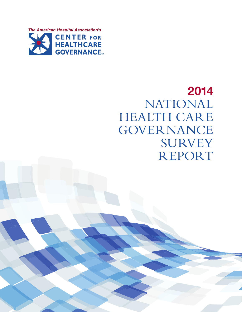

# 2014 NATIONAL HEALTH CARE **GOVERNANCE** SURVEY REPORT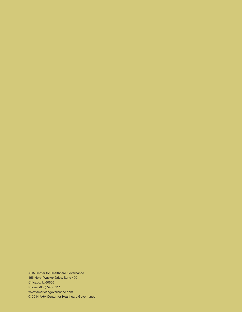AHA Center for Healthcare Governance 155 North Wacker Drive, Suite 400 Chicago, IL 60606 Phone: (888) 540-6111 www.americangovernance.com © 2014 AHA Center for Healthcare Governance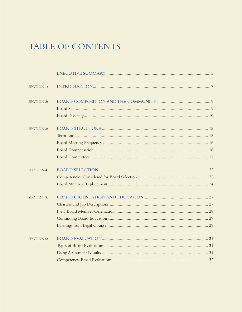## TABLE OF CONTENTS

| <b>SECTION 1:</b> |  |
|-------------------|--|
| <b>SECTION 2:</b> |  |
|                   |  |
|                   |  |
| <b>SECTION 3:</b> |  |
|                   |  |
|                   |  |
|                   |  |
|                   |  |
| <b>SECTION 4:</b> |  |
|                   |  |
|                   |  |
| <b>SECTION 5:</b> |  |
|                   |  |
|                   |  |
|                   |  |
|                   |  |
| <b>SECTION 6:</b> |  |
|                   |  |
|                   |  |
|                   |  |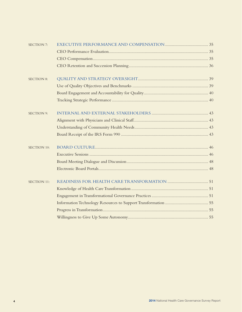| <b>SECTION 7:</b>  |  |
|--------------------|--|
|                    |  |
|                    |  |
|                    |  |
| <b>SECTION 8:</b>  |  |
|                    |  |
|                    |  |
|                    |  |
| <b>SECTION 9:</b>  |  |
|                    |  |
|                    |  |
|                    |  |
| <b>SECTION 10:</b> |  |
|                    |  |
|                    |  |
|                    |  |
| <b>SECTION 11:</b> |  |
|                    |  |
|                    |  |
|                    |  |
|                    |  |
|                    |  |
|                    |  |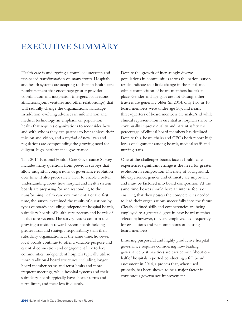## EXECUTIVE SUMMARY

Health care is undergoing a complex, uncertain and fast-paced transformation on many fronts. Hospitals and health systems are adapting to shifts in health care reimbursement that encourage greater provider coordination and integration (mergers, acquisitions, affiliations, joint ventures and other relationships) that will radically change the organizational landscape. In addition, evolving advances in information and medical technology, an emphasis on population health that requires organizations to reconsider how and with whom they can partner to best achieve their mission and vision, and a myriad of new laws and regulations are compounding the growing need for diligent, high-performance governance.

This 2014 National Health Care Governance Survey includes many questions from previous surveys that allow insightful comparisons of governance evolution over time. It also probes new areas to enable a better understanding about how hospital and health system boards are preparing for and responding to the transforming health care environment. For the first time, the survey examined the results of questions by types of boards, including independent hospital boards, subsidiary boards of health care systems and boards of health care systems. The survey results confirm the growing transition toward system boards holding greater fiscal and strategic responsibility than their subsidiary organizations; at the same time, however, local boards continue to offer a valuable purpose and essential connection and engagement link to local communities. Independent hospitals typically utilize more traditional board structures, including longer board member terms and term limits and more frequent meetings, while hospital systems and their subsidiary boards typically have shorter terms and term limits, and meet less frequently.

Despite the growth of increasingly diverse populations in communities across the nation, survey results indicate that little change in the racial and ethnic composition of board members has taken place. Gender and age gaps are not closing either; trustees are generally older (in 2014, only two in 10 board members were under age 50), and nearly three-quarters of board members are male. And while clinical representation is essential as hospitals strive to continually improve quality and patient safety, the percentage of clinical board members has declined. Despite this, board chairs and CEOs both report high levels of alignment among boards, medical staffs and nursing staffs.

One of the challenges boards face as health care experiences significant change is the need for greater evolution in composition. Diversity of background, life experience, gender and ethnicity are important and must be factored into board composition. At the same time, boards should have an intense focus on ensuring that they possess the competencies needed to lead their organizations successfully into the future. Clearly defined skills and competencies are being employed to a greater degree in new board member selection; however, they are employed less frequently for evaluations and re-nominations of existing board members.

Ensuring purposeful and highly productive hospital governance requires considering how leading governance best practices are carried out. About one half of hospitals reported conducting a full board assessment in 2014, a process that, when used properly, has been shown to be a major factor in continuous governance improvement.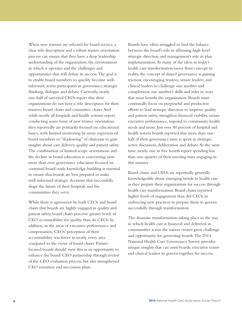When new trustees are selected for board service, a clear role description and a robust trustee orientation process can ensure that they have a deep leadership understanding of the organization, the environment in which it operates and the challenges and opportunities that will define its success. The goal is to enable board members to quickly become wellinformed, active participants in governance strategic thinking, dialogue and debate. Currently, nearly one-half of surveyed CEOs report that their organizations do not have a role description for their trustees, board chairs and committee chairs. And while nearly all hospitals and health systems report conducting some form of new trustee orientation, they reportedly are primarily focused on educational basics, with limited mentoring by more experienced board members or "shadowing" of clinicians to gain insights about care delivery, quality and patient safety. The combination of limited-scope orientations and the decline in board education is concerning; now more than ever, governance education focused on continual board-wide knowledge-building is essential to ensure that boards are best prepared to make well-informed strategic decisions that successfully shape the future of their hospitals and the communities they serve.

While there is agreement by both CEOs and board chairs that boards are highly engaged in quality and patient safety, board chairs perceive greater levels of CEO accountability for quality than do CEOs. In addition, in the areas of executive performance and compensation, CEOs' perception of their accountability was lower in nearly every area compared to the views of board chairs. Futurefocused boards should view this as an opportunity to enhance the board/CEO partnership through review of the CEO evaluation process, but also strengthened CEO retention and succession plans.

Boards have often struggled to find the balance between the board's role in affirming high-level strategic direction and management's role in plan implementation. As many of the ideas in today's health care transformation move from concept to reality, the concept of shared governance is gaining traction, encouraging trustees, senior leaders, and clinical leaders to challenge one another and complement one another's skills and roles in ways that most benefit the organization. Boards must continually focus on purposeful and productive efforts to lead strategic direction to improve quality and patient safety, strengthen financial viability, ensure executive performance, respond to community health needs and more. Just over 40 percent of hospital and health system boards reported that more than onehalf of their governance time is spent in strategic, active discussion, deliberation and debate. At the same time, nearly one in five boards report spending less than one-quarter of their meeting time engaging in this manner.

Board chairs and CEOs are reportedly generally knowledgeable about emerging trends in health care as they prepare their organizations for success through health care transformation. Board chairs reported higher levels of engagement than did CEOs in embracing new practices to prepare them to govern successfully through transformation.

The dramatic transformation taking place in the way in which health care is financed and delivered in communities across the nation creates great challenge and opportunity for governing boards. The 2014 National Health Care Governance Survey provides unique insights that can assist boards, executive teams and clinical leaders to govern together for success.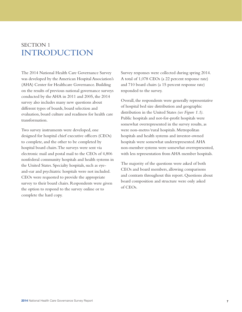## SECTION 1 INTRODUCTION

The 2014 National Health Care Governance Survey was developed by the American Hospital Association's (AHA) Center for Healthcare Governance. Building on the results of previous national governance surveys conducted by the AHA in 2011 and 2005, the 2014 survey also includes many new questions about different types of boards, board selection and evaluation, board culture and readiness for health care transformation.

Two survey instruments were developed, one designed for hospital chief executive officers (CEOs) to complete, and the other to be completed by hospital board chairs. The surveys were sent via electronic mail and postal mail to the CEOs of 4,806 nonfederal community hospitals and health systems in the United States. Specialty hospitals, such as eyeand-ear and psychiatric hospitals were not included. CEOs were requested to provide the appropriate survey to their board chairs. Respondents were given the option to respond to the survey online or to complete the hard copy.

Survey responses were collected during spring 2014. A total of 1,078 CEOs (a 22 percent response rate) and 710 board chairs (a 15 percent response rate) responded to the survey.

Overall, the respondents were generally representative of hospital bed size distribution and geographic distribution in the United States *(see Figure 1.1)*. Public hospitals and not-for-profit hospitals were somewhat overrepresented in the survey results, as were non-metro/rural hospitals. Metropolitan hospitals and health systems and investor-owned hospitals were somewhat underrepresented. AHA non-member systems were somewhat overrepresented, with less representation from AHA member hospitals.

The majority of the questions were asked of both CEOs and board members, allowing comparisons and contrasts throughout this report. Questions about board composition and structure were only asked of CEOs.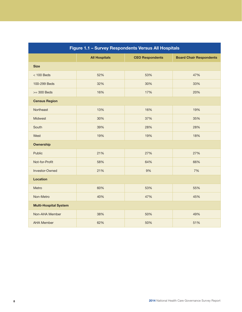| Figure 1.1 - Survey Respondents Versus All Hospitals |                      |                        |                                |  |  |
|------------------------------------------------------|----------------------|------------------------|--------------------------------|--|--|
|                                                      | <b>All Hospitals</b> | <b>CEO Respondents</b> | <b>Board Chair Respondents</b> |  |  |
| <b>Size</b>                                          |                      |                        |                                |  |  |
| $<$ 100 Beds                                         | 52%                  | 53%                    | 47%                            |  |  |
| 100-299 Beds                                         | 32%                  | 30%                    | 33%                            |  |  |
| $>=$ 300 Beds                                        | 16%                  | 17%                    | 20%                            |  |  |
| <b>Census Region</b>                                 |                      |                        |                                |  |  |
| Northeast                                            | 13%                  | 16%                    | 19%                            |  |  |
| <b>Midwest</b>                                       | 30%                  | 37%                    | 35%                            |  |  |
| South                                                | 39%                  | 28%                    | 28%                            |  |  |
| West                                                 | 19%                  | 19%                    | 18%                            |  |  |
| Ownership                                            |                      |                        |                                |  |  |
| Public                                               | 21%                  | 27%                    | 27%                            |  |  |
| Not-for-Profit                                       | 58%                  | 64%                    | 66%                            |  |  |
| Investor-Owned                                       | 21%                  | 9%                     | 7%                             |  |  |
| <b>Location</b>                                      |                      |                        |                                |  |  |
| Metro                                                | 60%                  | 53%                    | 55%                            |  |  |
| Non-Metro                                            | 40%                  | 47%                    | 45%                            |  |  |
| <b>Multi-Hospital System</b>                         |                      |                        |                                |  |  |
| Non-AHA Member                                       | 38%                  | 50%                    | 49%                            |  |  |
| <b>AHA Member</b>                                    | 62%                  | 50%                    | 51%                            |  |  |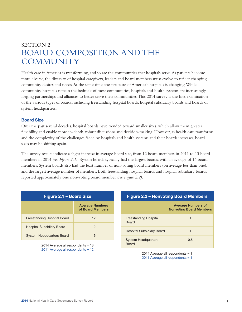## SECTION 2 BOARD COMPOSITION AND THE **COMMUNITY**

Health care in America is transforming, and so are the communities that hospitals serve. As patients become more diverse, the diversity of hospital caregivers, leaders and board members must evolve to reflect changing community desires and needs. At the same time, the structure of America's hospitals is changing. While community hospitals remain the bedrock of most communities, hospitals and health systems are increasingly forging partnerships and alliances to better serve their communities. This 2014 survey is the first examination of the various types of boards, including freestanding hospital boards, hospital subsidiary boards and boards of system headquarters.

### Board Size

Over the past several decades, hospital boards have trended toward smaller sizes, which allow them greater flexibility and enable more in-depth, robust discussions and decision-making. However, as health care transforms and the complexity of the challenges faced by hospitals and health systems and their boards increases, board sizes may be shifting again.

The survey results indicate a slight increase in average board size, from 12 board members in 2011 to 13 board members in 2014 *(see Figure 2.1).* System boards typically had the largest boards, with an average of 16 board members. System boards also had the least number of non-voting board members (on average less than one), and the largest average number of members. Both freestanding hospital boards and hospital subsidiary boards reported approximately one non-voting board member *(see Figure 2.2)*.

| Figure 2.1 - Board Size          |                                            |  |
|----------------------------------|--------------------------------------------|--|
|                                  | <b>Average Numbers</b><br>of Board Members |  |
| Freestanding Hospital Board      | 12                                         |  |
| <b>Hospital Subsidiary Board</b> | 12                                         |  |
| <b>System Headquarters Board</b> | 16                                         |  |

2014 Average all respondents = 13 2011 Average all respondents = 12

| <b>Figure 2.2 - Nonvoting Board Members</b>  |                                                             |  |
|----------------------------------------------|-------------------------------------------------------------|--|
|                                              | <b>Average Numbers of</b><br><b>Nonvoting Board Members</b> |  |
| <b>Freestanding Hospital</b><br><b>Board</b> |                                                             |  |
| <b>Hospital Subsidiary Board</b>             |                                                             |  |
| <b>System Headquarters</b><br><b>Board</b>   | 0.5                                                         |  |

2014 Average all respondents = 1

2011 Average all respondents = 1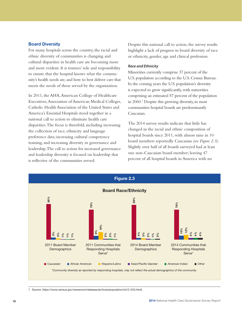### Board Diversity

For many hospitals across the country, the racial and ethnic diversity of communities is changing and cultural disparities in health care are becoming more and more evident. It is trustees' role and responsibility to ensure that the hospital knows what the community's health needs are, and how to best deliver care that meets the needs of those served by the organization.

In 2011, the AHA, American College of Healthcare Executives, Association of American Medical Colleges, Catholic Health Association of the United States and America's Essential Hospitals stood together in a national call to action to eliminate health care disparities. The focus is threefold, including increasing the collection of race, ethnicity and language preference data; increasing cultural competency training; and increasing diversity in governance and leadership. The call to action for increased governance and leadership diversity is focused on leadership that is reflective of the communities served.

Despite this national call to action, the survey results highlight a lack of progress in board diversity of race or ethnicity, gender, age and clinical profession.

### *Race and Ethnicity*

Minorities currently comprise 37 percent of the U.S. population according to the U.S. Census Bureau. In the coming years the U.S. population's diversity is expected to grow significantly, with minorities comprising an estimated 57 percent of the population in 2060.1 Despite this growing diversity, in most communities hospital boards are predominantly Caucasian.

The 2014 survey results indicate that little has changed in the racial and ethnic composition of hospital boards since 2011, with almost nine in 10 board members reportedly Caucasian *(see Figure 2.3)*. Slightly over half of all boards surveyed had at least one non-Caucasian board member; leaving 47 percent of all hospital boards in America with no



1 Source: https://www.census.gov/newsroom/releases/archives/population/cb12-243.html)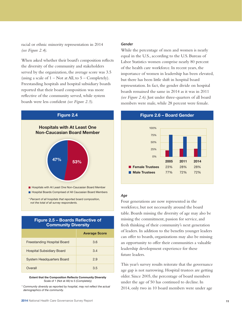racial or ethnic minority representation in 2014 *(see Figure 2.4)*.

When asked whether their board's composition reflects the diversity of the community and stakeholders served by the organization, the average score was 3.5 (using a scale of  $1 - Not$  at All, to  $5 - Completely$ ). Freestanding hospitals and hospital subsidiary boards reported that their board composition was more reflective of the community served, while system boards were less confident *(see Figure 2.5)*.

*Gender*

While the percentage of men and women is nearly equal in the U.S., according to the U.S. Bureau of Labor Statistics women comprise nearly 80 percent of the health care workforce. In recent years, the importance of women in leadership has been elevated, but there has been little shift in hospital board representation. In fact, the gender divide on hospital boards remained the same in 2014 as it was in 2011 *(see Figure 2.6)*. Just under three-quarters of all board members were male, while 28 percent were female.



| Figure 2.5 - Boards Reflective of<br><b>Community Diversity</b> |                      |  |
|-----------------------------------------------------------------|----------------------|--|
|                                                                 | <b>Average Score</b> |  |
| Freestanding Hospital Board                                     | 3.6                  |  |
| <b>Hospital Subsidiary Board</b>                                | 3.4                  |  |
| <b>System Headquarters Board</b>                                | 2.9                  |  |
| Overall                                                         | 35                   |  |

Extent that the Composition Reflects Community Diversity Scale of 1 (Not at All) to 5 (Completely)

*\* Community diversity as reported by hospital, may not reflect the actual demographics of the community.* 



### *Age*

Four generations are now represented in the workforce, but not necessarily around the board table. Boards missing the diversity of age may also be missing the commitment, passion for service, and fresh thinking of their community's next generation of leaders. In addition to the benefits younger leaders can offer to boards, organizations may also be missing an opportunity to offer their communities a valuable leadership development experience for these future leaders.

This year's survey results reiterate that the governance age gap is not narrowing. Hospital trustees are getting older. Since 2005, the percentage of board members under the age of 50 has continued to decline. In 2014, only two in 10 board members were under age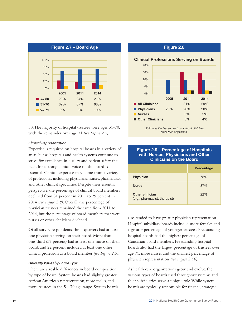

50. The majority of hospital trustees were ages 51-70, with the remainder over age 71 *(see Figure 2.7)*.

### *Clinical Representation*

Expertise is required on hospital boards in a variety of areas, but as hospitals and health systems continue to strive for excellence in quality and patient safety the need for a strong clinical voice on the board is essential. Clinical expertise may come from a variety of professions, including physicians, nurses, pharmacists, and other clinical specialties. Despite their essential perspective, the percentage of clinical board members declined from 31 percent in 2011 to 29 percent in 2014 *(see Figure 2.8)*. Overall, the percentage of physician trustees remained the same from 2011 to 2014, but the percentage of board members that were nurses or other clinicians declined.

Of all survey respondents, three-quarters had at least one physician serving on their board. More than one-third (37 percent) had at least one nurse on their board, and 22 percent included at least one other clinical profession as a board member *(see Figure 2.9)*.

### *Diversity Varies by Board Type*

There are sizeable differences in board composition by type of board. System boards had slightly greater African American representation, more males, and more trustees in the 51–70 age range. System boards



*\*2011 was the first survey to ask about clinicians other than physicians.*

### Figure 2.9 – Percentage of Hospitals with Nurses, Physicians and Other Clinicians on the Board

|                                                         | <b>Percentage</b> |
|---------------------------------------------------------|-------------------|
| <b>Physician</b>                                        | 75%               |
| <b>Nurse</b>                                            | 37%               |
| <b>Other clinician</b><br>(e.g., pharmacist, therapist) | 22%               |

also tended to have greater physician representation. Hospital subsidiary boards included more females and a greater percentage of younger trustees. Freestanding hospital boards had the highest percentage of Caucasian board members. Freestanding hospital boards also had the largest percentage of trustees over age 71, more nurses and the smallest percentage of physician representation *(see Figure 2.10)*.

As health care organizations grow and evolve, the various types of boards used throughout systems and their subsidiaries serve a unique role. While system boards are typically responsible for finance, strategic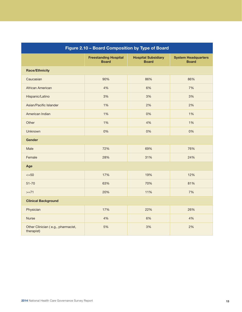| Figure 2.10 - Board Composition by Type of Board |                                              |                                            |                                            |  |
|--------------------------------------------------|----------------------------------------------|--------------------------------------------|--------------------------------------------|--|
|                                                  | <b>Freestanding Hospital</b><br><b>Board</b> | <b>Hospital Subsidiary</b><br><b>Board</b> | <b>System Headquarters</b><br><b>Board</b> |  |
| <b>Race/Ethnicity</b>                            |                                              |                                            |                                            |  |
| Caucasian                                        | 90%                                          | 86%                                        | 86%                                        |  |
| African American                                 | 4%                                           | 6%                                         | 7%                                         |  |
| Hispanic/Latino                                  | 3%                                           | 3%                                         | 3%                                         |  |
| Asian/Pacific Islander                           | 1%                                           | 2%                                         | 2%                                         |  |
| American Indian                                  | 1%                                           | 0%                                         | 1%                                         |  |
| Other                                            | 1%                                           | 4%                                         | 1%                                         |  |
| <b>Unknown</b>                                   | 0%                                           | 0%                                         | 0%                                         |  |
| Gender                                           |                                              |                                            |                                            |  |
| Male                                             | 72%                                          | 69%                                        | 76%                                        |  |
| Female                                           | 28%                                          | 31%                                        | 24%                                        |  |
| Age                                              |                                              |                                            |                                            |  |
| $\leq$ =50                                       | 17%                                          | 19%                                        | 12%                                        |  |
| $51 - 70$                                        | 63%                                          | 70%                                        | 81%                                        |  |
| $>=71$                                           | 20%                                          | 11%                                        | 7%                                         |  |
| <b>Clinical Background</b>                       |                                              |                                            |                                            |  |
| Physician                                        | 17%                                          | 22%                                        | 26%                                        |  |
| <b>Nurse</b>                                     | 4%                                           | 6%                                         | 4%                                         |  |
| Other Clinician (e.g., pharmacist,<br>therapist) | 5%                                           | 3%                                         | 2%                                         |  |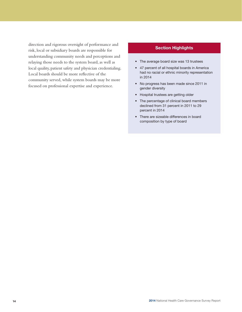direction and rigorous oversight of performance and risk, local or subsidiary boards are responsible for understanding community needs and perceptions and relaying those needs to the system board, as well as local quality, patient safety and physician credentialing. Local boards should be more reflective of the community served, while system boards may be more focused on professional expertise and experience.

### Section Highlights

- The average board size was 13 trustees
- 47 percent of all hospital boards in America had no racial or ethnic minority representation in 2014
- No progress has been made since 2011 in gender diversity
- Hospital trustees are getting older
- The percentage of clinical board members declined from 31 percent in 2011 to 29 percent in 2014
- There are sizeable differences in board composition by type of board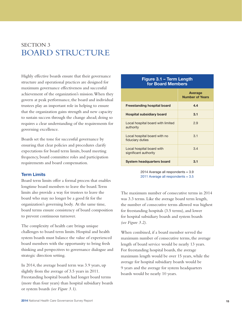## SECTION 3 BOARD STRUCTURE

Highly effective boards ensure that their governance structure and operational practices are designed for maximum governance effectiveness and successful achievement of the organization's mission. When they govern at peak performance, the board and individual trustees play an important role in helping to ensure that the organization gains strength and new capacity to sustain success through the change ahead; doing so requires a clear understanding of the requirements for governing excellence.

Boards set the tone for successful governance by ensuring that clear policies and procedures clarify expectations for board term limits, board meeting frequency, board committee roles and participation requirements and board compensation.

### Term Limits

Board term limits offer a formal process that enables longtime board members to leave the board. Term limits also provide a way for trustees to leave the board who may no longer be a good fit for the organization's governing body. At the same time, board terms ensure consistency of board composition to prevent continuous turnover.

The complexity of health care brings unique challenges to board term limits. Hospital and health system boards must balance the value of experienced board members with the opportunity to bring fresh thinking and perspectives to governance dialogue and strategic direction setting.

In 2014, the average board term was 3.9 years, up slightly from the average of 3.5 years in 2011. Freestanding hospital boards had longer board terms (more than four years) than hospital subsidiary boards or system boards *(see Figure 3.1)*.

### Figure 3.1 – Term Length for Board Members

|                                                    | <b>Average</b><br><b>Number of Years</b> |
|----------------------------------------------------|------------------------------------------|
| <b>Freestanding hospital board</b>                 | 4.4                                      |
| Hospital subsidiary board                          | 3.1                                      |
| Local hospital board with limited<br>authority     | 2.9                                      |
| Local hospital board with no<br>fiduciary duties   | 3.1                                      |
| Local hospital board with<br>significant authority | 3.4                                      |
| System headquarters board                          | 3.1                                      |

2014 Average all respondents = 3.9 2011 Average all respondents = 3.5

The maximum number of consecutive terms in 2014 was 3.3 terms. Like the average board term length, the number of consecutive terms allowed was highest for freestanding hospitals (3.5 terms), and lower for hospital subsidiary boards and system boards *(see Figure 3.2)*.

When combined, if a board member served the maximum number of consecutive terms, the average length of board service would be nearly 13 years. For freestanding hospital boards, the average maximum length would be over 15 years, while the average for hospital subsidiary boards would be 9 years and the average for system headquarters boards would be nearly 10 years.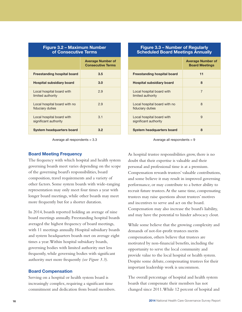| <b>Figure 3.2 - Maximum Number</b><br>of Consecutive Terms |                                                      |  |
|------------------------------------------------------------|------------------------------------------------------|--|
|                                                            | <b>Average Number of</b><br><b>Consecutive Terms</b> |  |
| <b>Freestanding hospital board</b>                         | 3.5                                                  |  |
| <b>Hospital subsidiary board</b>                           | 3.0                                                  |  |
| Local hospital board with<br>limited authority             | 2.9                                                  |  |
| Local hospital board with no<br>fiduciary duties           | 2.9                                                  |  |
| Local hospital board with<br>significant authority         | 3.1                                                  |  |
| <b>System headquarters board</b>                           | 3.2                                                  |  |

Average all respondents = 3.3

### Board Meeting Frequency

The frequency with which hospital and health system governing boards meet varies depending on the scope of the governing board's responsibilities, board composition, travel requirements and a variety of other factors. Some system boards with wide-ranging representation may only meet four times a year with longer board meetings, while other boards may meet more frequently but for a shorter duration.

In 2014, boards reported holding an average of nine board meetings annually. Freestanding hospital boards averaged the highest frequency of board meetings, with 11 meetings annually. Hospital subsidiary boards and system headquarters boards met on average eight times a year. Within hospital subsidiary boards, governing bodies with limited authority met less frequently, while governing bodies with significant authority met more frequently *(see Figure 3.3)*.

### Board Compensation

Serving on a hospital or health system board is increasingly complex, requiring a significant time commitment and dedication from board members.

Figure 3.3 – Number of Regularly Scheduled Board Meetings Annually

|                                                    | <b>Average Number of</b><br><b>Board Meetings</b> |
|----------------------------------------------------|---------------------------------------------------|
| Freestanding hospital board                        | 11                                                |
| <b>Hospital subsidiary board</b>                   | 8                                                 |
| Local hospital board with<br>limited authority     | 7                                                 |
| Local hospital board with no<br>fiduciary duties   | 8                                                 |
| Local hospital board with<br>significant authority | 9                                                 |
| System headquarters board                          | 8                                                 |

Average all respondents = 9

As hospital trustee responsibilities grow, there is no doubt that their expertise is valuable and their personal and professional time is at a premium. Compensation rewards trustees' valuable contributions, and some believe it may result in improved governing performance, or may contribute to a better ability to recruit future trustees. At the same time, compensating trustees may raise questions about trustees' motives and incentives to serve and act on the board. Compensation may also increase the board's liability, and may have the potential to hinder advocacy clout.

While some believe that the growing complexity and demands of not-for-profit trustees merits compensation, others believe that trustees are motivated by non-financial benefits, including the opportunity to serve the local community and provide value to the local hospital or health system. Despite some debate, compensating trustees for their important leadership work is uncommon.

The overall percentage of hospital and health system boards that compensate their members has not changed since 2011. While 12 percent of hospital and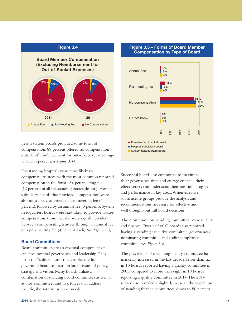

health system boards provided some form of compensation, 88 percent offered no compensation outside of reimbursement for out-of-pocket meetingrelated expenses *(see Figure 3.4)*.

Freestanding hospitals were most likely to compensate trustees, with the most common reported compensation in the form of a per-meeting fee (12 percent of all freestanding boards do this). Hospital subsidiary boards that provided compensation were also most likely to provide a per-meeting fee (6 percent), followed by an annual fee (3 percent). System headquarters boards were least likely to provide trustee compensation; those that did were equally divided between compensating trustees through an annual fee or a per-meeting fee (4 percent each) *(see Figure 3.5)*.

### Board Committees

Board committees are an essential component of effective hospital governance and leadership. They form the "substructure" that enables the full governing board to focus on larger issues of policy, strategy and vision. Many boards utilize a combination of standing board committees as well as ad hoc committees and task forces that address specific, short-term issues or needs.



Successful boards use committee to maximize their governance time and energy, enhance their effectiveness and understand their position, progress and performance in key areas. When effective, substructure groups provide the analysis and recommendations necessary for effective and well thought-out full board decisions.

The most common standing committees were quality and finance. Over half of all boards also reported having a standing executive committee, governance/ nominating committee and audit/compliance committee *(see Figure 3.6)*.

The prevalence of a standing quality committee has markedly increased in the last decade; fewer than six in 10 boards reported having a quality committee in 2005, compared to more than eight in 10 boards reporting a quality committee in 2014. The 2014 survey also revealed a slight decrease in the overall use of standing finance committees, down to 80 percent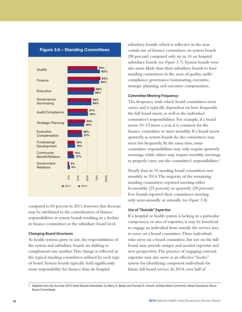

Figure 3.6 – Standing Committees

compared to 83 percent in 2011; however, that decrease may be attributed to the centralization of finance responsibilities at system boards resulting in a decline in finance committees at the subsidiary board level.

### *Changing Board Structures*

As health systems grow in size, the responsibilities of the system and subsidiary boards are shifting to complement one another. This change is reflected in the typical standing committees utilized by each type of board. System boards typically hold significantly more responsibility for finance than do hospital

subsidiary boards, which is reflective in the near certain use of finance committees on system boards (98 percent) compared only six in 10 on hospital subsidiary boards *(see Figure 3.7)*. System boards were also more likely than their subsidiary boards to have standing committees in the areas of quality, audit/ compliance, governance/nominating, executive, strategic planning, and executive compensation.

### *Committee Meeting Frequency*

The frequency with which board committees meet varies, and is typically dependent on how frequently the full board meets, as well as the individual committee's responsibilities. For example, if a board meets 10–12 times a year, it is common for the finance committee to meet monthly. If a board meets quarterly, as system boards do, the committees may meet less frequently. At the same time, some committee responsibilities may only require quarterly meetings, while others may require monthly meetings to properly carry out the committee's responsibilities.<sup>1</sup>

Nearly four in 10 standing board committees met monthly in 2014. The majority of the remaining standing committees reported meeting either bi-monthly (25 percent) or quarterly (28 percent). Few boards reported their committees meeting only semi-annually or annually *(see Figure 3.8)*.

### *Use of "Outside" Expertise*

<sup>18</sup> <sup>2014</sup> National Health Care Governance Survey Report 0%25%50%75% 100% If a hospital or health system is lacking in a particular competency or area of expertise, it may be beneficial to engage an individual from outside the service area to serve on a board committee. These individuals who serve on a board committee, but not on the full board, may provide unique and needed expertise and new perspectives. The practice of engaging external expertise may also serve as an effective "feeder" system for identifying competent individuals for future full board service. In 2014, over half of

<sup>1</sup> Adapted from the Summer 2013 Great Boards Newsletter, by Barry S. Bader and Pamela R. Knecht, entitled Most Commonly Asked Questions About Board Committees.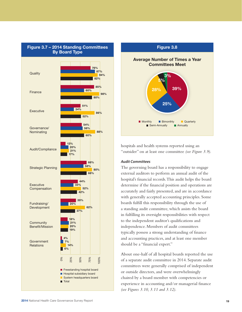



hospitals and health systems reported using an "outsider" on at least one committee *(see Figure 3.9)*.

### *Audit Committees*

The governing board has a responsibility to engage external auditors to perform an annual audit of the hospital's financial records. This audit helps the board determine if the financial position and operations are accurately and fairly presented, and are in accordance with generally accepted accounting principles. Some boards fulfill this responsibility through the use of a standing audit committee, which assists the board in fulfilling its oversight responsibilities with respect to the independent auditor's qualifications and independence. Members of audit committees typically possess a strong understanding of finance and accounting practices, and at least one member should be a "financial expert."

About one-half of all hospital boards reported the use of a separate audit committee in 2014. Separate audit committees were generally comprised of independent or outside directors, and were overwhelmingly chaired by a board member with competencies or experience in accounting and/or managerial finance *(see Figures 3.10, 3.11 and 3.12)*.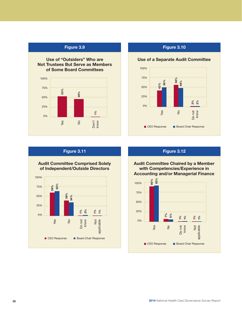

Figure 3.9

Figure 3.10

### Use of a Separate Audit Committee



### Figure 3.11

Audit Committee Comprised Solely of Independent/Outside Directors



### Figure 3.12

Audit Committee Chaired by a Member with Competencies/Experience in Accounting and/or Managerial Finance

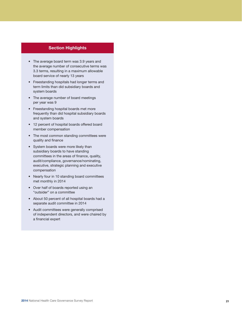### Section Highlights

- the average number of consecutive terms was 3.3 terms, resulting in a maximum allowable board service of nearly 13 years
- Freestanding hospitals had longer terms and term limits than did subsidiary boards and system boards
- The average number of board meetings per year was 9
- Freestanding hospital boards met more frequently than did hospital subsidiary boards and system boards
- 12 percent of hospital boards offered board member compensation
- The most common standing committees were quality and finance
- 11 The average board term was 3.2 years and<br>the average board of early 10 years and the average board of early 10 years and<br>the care Governance Survey Report 21  $\alpha$  is easy to consider the average board of early 10 years • System boards were more likely than subsidiary boards to have standing committees in the areas of finance, quality, audit/compliance, governance/nominating, executive, strategic planning and executive compensation
	- Nearly four in 10 standing board committees met monthly in 2014
	- Over half of boards reported using an "outsider" on a committee
	- About 50 percent of all hospital boards had a separate audit committee in 2014
	- Audit committees were generally comprised of independent directors, and were chaired by a financial expert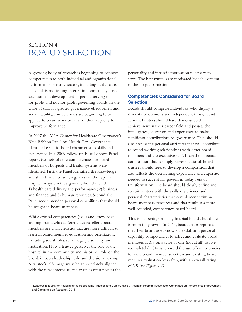## SECTION 4 BOARD SELECTION

A growing body of research is beginning to connect competencies to both individual and organizational performance in many sectors, including health care. This link is motivating interest in competency-based selection and development of people serving on for-profit and not-for-profit governing boards. In the wake of calls for greater governance effectiveness and accountability, competencies are beginning to be applied to board work because of their capacity to improve performance.

In 2007 the AHA Center for Healthcare Governance's Blue Ribbon Panel on Health Care Governance identified essential board characteristics, skills and experience. In a 2009 follow-up Blue Ribbon Panel report, two sets of core competencies for board members of hospitals and health systems were identified. First, the Panel identified the knowledge and skills that all boards, regardless of the type of hospital or system they govern, should include: 1) health care delivery and performance; 2) business and finance; and 3) human resources. Second, the Panel recommended personal capabilities that should be sought in board members.

While critical competencies (skills and knowledge) are important, what differentiates excellent board members are characteristics that are more difficult to learn in board member education and orientation, including social roles, self-image, personality and motivation. How a trustee perceives the role of the hospital in the community, and his or her role on the board, impacts leadership style and decision-making. A trustee's self-image must be appropriately aligned with the new enterprise, and trustees must possess the personality and intrinsic motivation necessary to serve. The best trustees are motivated by achievement of the hospital's mission.<sup>1</sup>

### Competencies Considered for Board **Selection**

Boards should comprise individuals who display a diversity of opinions and independent thought and actions. Trustees should have demonstrated achievement in their career field and possess the intelligence, education and experience to make significant contributions to governance. They should also possess the personal attributes that will contribute to sound working relationships with other board members and the executive staff. Instead of a board composition that is simply representational, boards of trustees should seek to develop a composition that also reflects the overarching experience and expertise needed to successfully govern in today's era of transformation. The board should clearly define and recruit trustees with the skills, experience and personal characteristics that complement existing board members' resources and that result in a more well-rounded, competency-based board.

This is happening in many hospital boards, but there is room for growth. In 2014, board chairs reported that their board used knowledge/skill and personal capability competencies to select and evaluate board members at 3.8 on a scale of one (not at all) to five (completely). CEOs reported the use of competencies for new board member selection and existing board member evaluation less often, with an overall rating of 3.5 *(see Figure 4.1)*.

<sup>1</sup> "Leadership Toolkit for Redefining the H: Engaging Trustees and Communities". American Hospital Association Committee on Performance Improvement and Committee on Research, 2014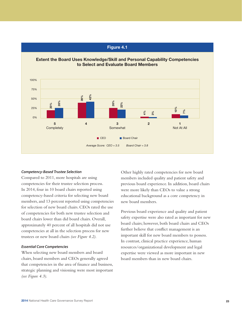

### *Competency-Based Trustee Selection*

Compared to 2011, more hospitals are using competencies for their trustee selection process. In 2014, four in 10 board chairs reported using competency-based criteria for selecting new board members, and 13 percent reported using competencies for selection of new board chairs. CEOs rated the use of competencies for both new trustee selection and board chairs lower than did board chairs. Overall, approximately 40 percent of all hospitals did not use competencies at all in the selection process for new trustees or new board chairs *(see Figure 4.2)*.

### *Essential Core Competencies*

When selecting new board members and board chairs, board members and CEOs generally agreed that competencies in the area of finance and business, strategic planning and visioning were most important *(see Figure 4.3)*.

Other highly rated competencies for new board members included quality and patient safety and previous board experience. In addition, board chairs were more likely than CEOs to value a strong educational background as a core competency in new board members.

Previous board experience and quality and patient safety expertise were also rated as important for new board chairs; however, both board chairs and CEOs further believe that conflict management is an important skill for new board members to possess. In contrast, clinical practice experience, human resources/organizational development and legal expertise were viewed as more important in new board members than in new board chairs.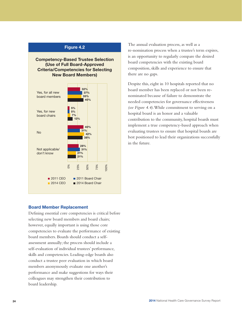### Figure 4.2

Competency-Based Trustee Selection (Use of Full Board-Approved Criteria/Competencies for Selecting New Board Members)



The annual evaluation process, as well as a re-nomination process when a trustee's term expires, is an opportunity to regularly compare the desired board competencies with the existing board composition, skills and experience to ensure that there are no gaps.

Despite this, eight in 10 hospitals reported that no board member has been replaced or not been renominated because of failure to demonstrate the needed competencies for governance effectiveness *(see Figure 4.4)*. While commitment to serving on a hospital board is an honor and a valuable contribution to the community, hospital boards must implement a true competency-based approach when evaluating trustees to ensure that hospital boards are best positioned to lead their organizations successfully in the future.

### Board Member Replacement

Defining essential core competencies is critical before selecting new board members and board chairs; however, equally important is using those core competencies to evaluate the performance of existing board members. Boards should conduct a selfassessment annually; the process should include a self-evaluation of individual trustees' performance, skills and competencies. Leading-edge boards also conduct a trustee peer evaluation in which board members anonymously evaluate one another's performance and make suggestions for ways their colleagues may strengthen their contribution to board leadership.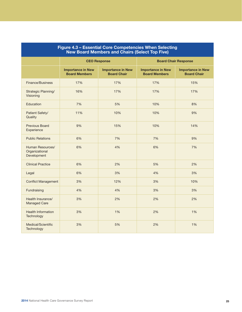| i iyulc 4.0 - Laachudi Oole Oompetencies wilch aelecting<br><b>New Board Members and Chairs (Select Top Five)</b> |                                                  |                                                |                                                  |                                                |
|-------------------------------------------------------------------------------------------------------------------|--------------------------------------------------|------------------------------------------------|--------------------------------------------------|------------------------------------------------|
|                                                                                                                   | <b>CEO Response</b>                              |                                                | <b>Board Chair Response</b>                      |                                                |
|                                                                                                                   | <b>Importance in New</b><br><b>Board Members</b> | <b>Importance in New</b><br><b>Board Chair</b> | <b>Importance in New</b><br><b>Board Members</b> | <b>Importance in New</b><br><b>Board Chair</b> |
| Finance/Business                                                                                                  | 17%                                              | 17%                                            | 17%                                              | 15%                                            |
| Strategic Planning/<br>Visioning                                                                                  | 16%                                              | 17%                                            | 17%                                              | 17%                                            |
| Education                                                                                                         | 7%                                               | 5%                                             | 10%                                              | 8%                                             |
| Patient Safety/<br>Quality                                                                                        | 11%                                              | 10%                                            | 10%                                              | 9%                                             |
| <b>Previous Board</b><br>Experience                                                                               | 9%                                               | 15%                                            | 10%                                              | 14%                                            |
| <b>Public Relations</b>                                                                                           | 6%                                               | 7%                                             | 7%                                               | 9%                                             |
| Human Resources/<br>Organizational<br>Development                                                                 | 6%                                               | 4%                                             | 6%                                               | 7%                                             |
| <b>Clinical Practice</b>                                                                                          | 6%                                               | 2%                                             | 5%                                               | 2%                                             |
| Legal                                                                                                             | 6%                                               | 3%                                             | 4%                                               | 3%                                             |
| <b>Conflict Management</b>                                                                                        | 3%                                               | 12%                                            | 3%                                               | 10%                                            |
| Fundraising                                                                                                       | 4%                                               | 4%                                             | 3%                                               | 3%                                             |
| Health Insurance/<br>Managed Care                                                                                 | 3%                                               | 2%                                             | 2%                                               | 2%                                             |
| <b>Health Information</b><br>Technology                                                                           | 3%                                               | 1%                                             | 2%                                               | 1%                                             |
| Medical/Scientific<br>Technology                                                                                  | 3%                                               | 5%                                             | 2%                                               | 1%                                             |

# Figure 4.3 – Essential Core Competencies When Selecting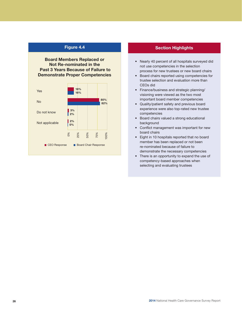### Figure 4.4

### Board Members Replaced or Not Re-nominated in the Past 3 Years Because of Failure to Demonstrate Proper Competencies



### Section Highlights

- Nearly 40 percent of all hospitals surveyed did not use competencies in the selection process for new trustees or new board chairs
- Board chairs reported using competencies for trustee selection and evaluation more than CEOs did
- Finance/business and strategic planning/ visioning were viewed as the two most important board member competencies
- Quality/patient safety and previous board experience were also top-rated new trustee competencies
- Board chairs valued a strong educational background
- Conflict management was important for new board chairs
- Eight in 10 hospitals reported that no board member has been replaced or not been re-nominated because of failure to demonstrate the necessary competencies
- There is an opportunity to expand the use of competency-based approaches when selecting and evaluating trustees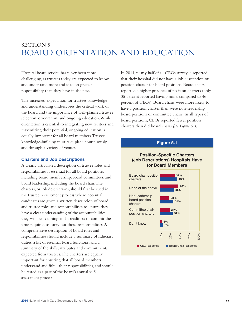## SECTION 5 BOARD ORIENTATION AND EDUCATION

Hospital board service has never been more challenging, as trustees today are expected to know and understand more and take on greater responsibility than they have in the past.

The increased expectation for trustees' knowledge and understanding underscores the critical work of the board and the importance of well-planned trustee selection, orientation, and ongoing education. While orientation is essential to integrating new trustees and maximizing their potential, ongoing education is equally important for all board members. Trustee knowledge-building must take place continuously, and through a variety of venues.

### Charters and Job Descriptions

A clearly articulated description of trustee roles and responsibilities is essential for all board positions, including board membership, board committees, and board leadership, including the board chair. The charters, or job descriptions, should first be used in the trustee recruitment process where potential candidates are given a written description of board and trustee roles and responsibilities to ensure they have a clear understanding of the accountabilities they will be assuming and a readiness to commit the time required to carry out those responsibilities. A comprehensive description of board roles and responsibilities should include a summary of fiduciary duties, a list of essential board functions, and a summary of the skills, attributes and commitments expected from trustees. The charters are equally important for ensuring that all board members understand and fulfill their responsibilities, and should be tested as a part of the board's annual selfassessment process.

In 2014, nearly half of all CEOs surveyed reported that their hospital did not have a job description or position charter for board positions. Board chairs reported a higher presence of position charters (only 35 percent reported having none, compared to 46 percent of CEOs). Board chairs were more likely to have a position charter than were non-leadership board positions or committee chairs. In all types of board positions, CEOs reported fewer position charters than did board chairs *(see Figure 5.1)*.

### Figure 5.1

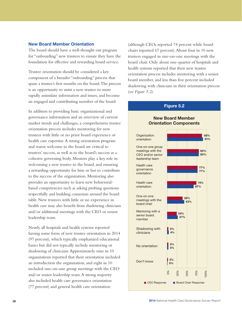### New Board Member Orientation

The board should have a well-thought out program for "onboarding" new trustees to ensure they have the foundation for effective and rewarding board service.

Trustee orientation should be considered a key component of a broader "onboarding" process that spans a trustee's first months on the board. The process is an opportunity to assist a new trustee to more rapidly assimilate information and issues, and become an engaged and contributing member of the board.

In addition to providing basic organizational and governance information and an overview of current market trends and challenges, a comprehensive trustee orientation process includes mentoring for new trustees with little or no prior board experience or health care expertise. A strong orientation program and warm welcome to the board are critical to trustees' success, as well as to the board's success as a cohesive governing body. Mentors play a key role in welcoming a new trustee to the board, and ensuring a rewarding opportunity for him or her to contribute to the success of the organization. Mentoring also provides an opportunity to learn new behavioralbased competencies such as asking probing questions respectfully and building consensus around the board table. New trustees with little or no experience in health care may also benefit from shadowing clinicians and/or additional meetings with the CEO or senior leadership team.

Nearly all hospitals and health systems reported having some form of new trustee orientation in 2014 (97 percent), which typically emphasized educational basics but did not typically include mentoring or shadowing of clinicians. Approximately nine in 10 organizations reported that their orientation included an introduction the organization, and eight in 10 included one-on-one group meetings with the CEO and/or senior leadership team. A strong majority also included health care governance orientation (77 percent) and general health care orientation

(although CEOs reported 74 percent while board chairs reported 67 percent). About four in 10 new trustees engaged in one-on-one meetings with the board chair. Only about one-quarter of hospitals and health systems reported that their new trustee orientation process includes mentoring with a senior board member, and less than five percent included shadowing with clinicians in their orientation process *(see Figure 5.2)*.

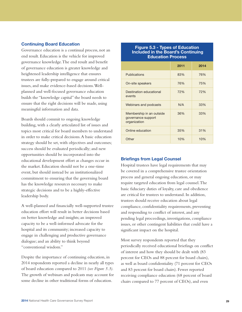### Continuing Board Education

Governance education is a continual process, not an end result. Education is the vehicle for improved governance knowledge. The end result and benefit of governance education is greater knowledge and heightened leadership intelligence that ensures trustees are fully-prepared to engage around critical issues, and make evidence-based decisions. Wellplanned and well-focused governance education builds the "knowledge capital" the board needs to ensure that the right decisions will be made, using meaningful information and data.

Boards should commit to ongoing knowledge building, with a clearly articulated list of issues and topics most critical for board members to understand in order to make critical decisions. A basic education strategy should be set, with objectives and outcomes; success should be evaluated periodically; and new opportunities should be incorporated into the educational development effort as changes occur in the market. Education should not be a one-time event, but should instead be an institutionalized commitment to ensuring that the governing board has the knowledge resources necessary to make strategic decisions and to be a highly-effective leadership body.

A well-planned and financially well-supported trustee education effort will result in better decisions based on better knowledge and insights; an improved capacity to be a well-informed advocate for the hospital and its community; increased capacity to engage in challenging and productive governance dialogue; and an ability to think beyond "conventional wisdom."

Despite the importance of continuing education, in 2014 respondents reported a decline in nearly all types of board education compared to 2011 *(see Figure 5.3)*. The growth of webinars and podcasts may account for some decline in other traditional forms of education.

### Figure 5.3 - Types of Education Included in the Board's Continuing Education Process

|                                                                | 2011 | 2014 |
|----------------------------------------------------------------|------|------|
| Publications                                                   | 83%  | 76%  |
| On-site speakers                                               | 76%  | 75%  |
| Destination educational<br>events                              | 72%  | 72%  |
| Webinars and podcasts                                          | N/A  | 33%  |
| Membership in an outside<br>governance support<br>organization | 36%  | 33%  |
| Online education                                               | 35%  | 31%  |
| Other                                                          | 10%  | 10%  |

### Briefings from Legal Counsel

Hospital trustees have legal requirements that may be covered in a comprehensive trustee orientation process and general ongoing education, or may require targeted education from legal counsel. The basic fiduciary duties of loyalty, care and obedience are critical for trustees to understand. In addition, trustees should receive education about legal compliance, confidentiality requirements, preventing and responding to conflict of interest, and any pending legal proceedings, investigations, compliance issues, or other contingent liabilities that could have a significant impact on the hospital.

Most survey respondents reported that they periodically received educational briefings on conflict of interest and how they should be dealt with (83 percent for CEOs and 88 percent for board chairs), as well as board confidentiality (71 percent for CEOs and 83 percent for board chairs). Fewer reported receiving compliance education (68 percent of board chairs compared to 77 percent of CEOs), and even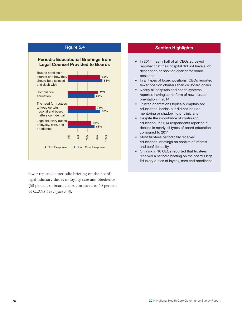### Figure 5.4

### Periodic Educational Briefings from Legal Counsel Provided to Boards



fewer reported a periodic briefing on the board's legal fiduciary duties of loyalty, care and obedience (68 percent of board chairs compared to 60 percent of CEOs) *(see Figure 5.4)*.

### Section Highlights

- In 2014, nearly half of all CEOs surveyed reported that their hospital did not have a job description or position charter for board positions
- In all types of board positions, CEOs reported fewer position charters than did board chairs
- Nearly all hospitals and health systems reported having some form of new trustee orientation in 2014
- Trustee orientations typically emphasized educational basics but did not include mentoring or shadowing of clinicians
- Despite the importance of continuing education, in 2014 respondents reported a decline in nearly all types of board education compared to 2011
- Most trustees periodically received educational briefings on conflict of interest and confidentiality
- Only six in 10 CEOs reported that trustees received a periodic briefing on the board's legal fiduciary duties of loyalty, care and obedience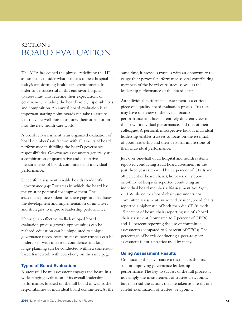## SECTION 6 BOARD EVALUATION

The AHA has coined the phrase "redefining the H" as hospitals consider what it means to be a hospital in today's transforming health care environment. In order to be successful in this endeavor, hospital trustees must also redefine their expectations of governance, including the board's roles, responsibilities, and composition. An annual board evaluation is an important starting point boards can take to ensure that they are well-poised to carry their organizations into the new health care world.

A board self-assessment is an organized evaluation of board members' satisfaction with all aspects of board performance in fulfilling the board's governance responsibilities. Governance assessments generally use a combination of quantitative and qualitative measurements of board, committee and individual performance.

Successful assessments enable boards to identify "governance gaps," or areas in which the board has the greatest potential for improvement. The assessment process identifies these gaps, and facilitates the development and implementation of initiatives and strategies to improve leadership performance.

Through an effective, well-developed board evaluation process growth opportunities can be realized, education can be pinpointed to unique governance needs, recruitment of new trustees can be undertaken with increased confidence, and longrange planning can be conducted within a consensusbased framework with everybody on the same page.

### Types of Board Evaluations

A successful board assessment engages the board in a wide-ranging evaluation of its overall leadership performance, focused on the full board as well as the responsibilities of individual board committees. At the same time, it provides trustees with an opportunity to gauge their personal performance as vital contributing members of the board of trustees, as well as the leadership performance of the board chair.

An individual performance assessment is a critical piece of a quality board evaluation process. Trustees may have one view of the overall board's performance, and have an entirely different view of their own individual performance, and that of their colleagues. A personal, introspective look at individual leadership enables trustees to focus on the essentials of good leadership and their personal impressions of their individual performance.

Just over one-half of all hospital and health systems reported conducting a full board assessment in the past three years (reported by 57 percent of CEOs and 58 percent of board chairs); however, only about one-third of hospitals reported conducting an individual board member self-assessment *(see Figure 6.1)*. While neither board chair assessments nor committee assessments were widely used, board chairs reported a higher use of both than did CEOs, with 15 percent of board chairs reporting use of a board chair assessment (compared to 7 percent of CEOs) and 14 percent reporting the use of committee assessments (compared to 9 percent of CEOs). The percentage of boards conducting a peer-to-peer assessment is not a practice used by many.

### Using Assessment Results

Conducting the governance assessment is the first step in improving governance leadership performance. The key to success of the full process is not simply the measurement of trustee viewpoints, but is instead the actions that are taken as a result of a careful examination of trustee viewpoints.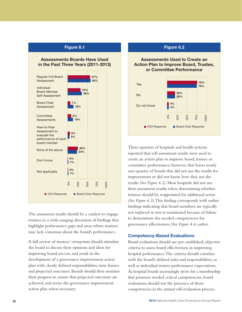### Figure 6.1

### Assessments Boards Have Used in the Past Three Years (2011-2013)



The assessment results should be a catalyst to engage trustees in a wide-ranging discussion of findings that highlight performance gaps and areas where trustees may lack consensus about the board's performance.

A full review of trustees' viewpoints should stimulate the board to discuss their opinions and ideas for improving board success, and result in the development of a governance improvement action plan with clearly defined responsibilities, time frames and projected outcomes. Boards should then monitor their progress to ensure that projected outcomes are achieved, and revise the governance improvement action plan when necessary.



Three-quarters of hospitals and health systems reported that self-assessment results were used to create an action plan to improve board, trustee or committee performance; however, that leaves nearly one-quarter of boards that did not use the results for improvement or did not know how they use the results *(See Figure 6.2)*. Most hospitals did not use their assessment results when determining whether trustees should be reappointed for additional terms *(See Figure 6.3)*. This finding corresponds with earlier findings indicating that board members are typically not replaced or not re-nominated because of failure to demonstrate the needed competencies for governance effectiveness *(See Figure 4.4, earlier)*.

### Competency-Based Evaluations

Board evaluations should use pre-established, objective criteria to assess board effectiveness in improving hospital performance. The criteria should correlate with the board's defined roles and responsibilities, as well as individual trustee performance expectations. As hospital boards increasingly strive for a membership that possesses needed critical competencies, board evaluations should test the presence of those competencies in the annual self-evaluation process.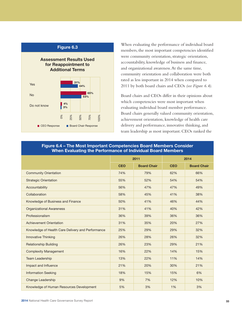

When evaluating the performance of individual board members, the most important competencies identified were community orientation, strategic orientation, accountability, knowledge of business and finance, and organizational awareness. At the same time, community orientation and collaboration were both rated as less important in 2014 when compared to 2011 by both board chairs and CEOs *(see Figure 6.4)*.

Board chairs and CEOs differ in their opinions about which competencies were most important when evaluating individual board member performance. Board chairs generally valued community orientation, achievement orientation, knowledge of health care delivery and performance, innovative thinking, and team leadership as most important. CEOs ranked the

| When Evaluating the Performance of Individual Board Members |            |                    |     |                    |  |  |
|-------------------------------------------------------------|------------|--------------------|-----|--------------------|--|--|
|                                                             |            | 2011               |     | 2014               |  |  |
|                                                             | <b>CEO</b> | <b>Board Chair</b> |     | <b>Board Chair</b> |  |  |
| <b>Community Orientation</b>                                | 74%        | 79%                | 62% | 66%                |  |  |
| <b>Strategic Orientation</b>                                | 55%        | 52%                | 54% | 54%                |  |  |
| Accountability                                              | 56%        | 47%                | 47% | 49%                |  |  |
| Collaboration                                               | 58%        | 45%                | 41% | 38%                |  |  |
| Knowledge of Business and Finance                           | 50%        | 41%                | 46% | 44%                |  |  |
| <b>Organizational Awareness</b>                             | 31%        | 41%                | 40% | 42%                |  |  |
| Professionalism                                             | 36%        | 39%                | 36% | 36%                |  |  |
| <b>Achievement Orientation</b>                              | 31%        | 35%                | 20% | 27%                |  |  |
| Knowledge of Health Care Delivery and Performance           | 25%        | 29%                | 29% | 32%                |  |  |
| <b>Innovative Thinking</b>                                  | 26%        | 28%                | 26% | 32%                |  |  |
| <b>Relationship Building</b>                                | 26%        | 23%                | 29% | 21%                |  |  |
| <b>Complexity Management</b>                                | 16%        | 22%                | 14% | 15%                |  |  |
| Team Leadership                                             | 13%        | 22%                | 11% | 14%                |  |  |
| Impact and Influence                                        | 21%        | 20%                | 30% | 21%                |  |  |
| <b>Information Seeking</b>                                  | 18%        | 15%                | 15% | 6%                 |  |  |
| <b>Change Leadership</b>                                    | 9%         | 7%                 | 12% | 10%                |  |  |
| Knowledge of Human Resources Development                    | 5%         | 3%                 | 1%  | 3%                 |  |  |

### Figure 6.4 – The Most Important Competencies Board Members Consider When Evaluating the Performance of Individual Board Members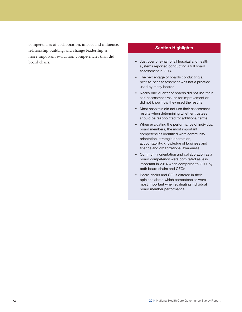competencies of collaboration, impact and influence,<br>
and intervals of collaboration, impact and influence,<br>
Section Highlights relationship building, and change leadership as more important evaluation competencies than did board chairs.

- Just over one-half of all hospital and health systems reported conducting a full board assessment in 2014
- The percentage of boards conducting a peer-to-peer assessment was not a practice used by many boards
- Nearly one-quarter of boards did not use their self-assessment results for improvement or did not know how they used the results
- Most hospitals did not use their assessment results when determining whether trustees should be reappointed for additional terms
- When evaluating the performance of individual board members, the most important competencies identified were community orientation, strategic orientation, accountability, knowledge of business and finance and organizational awareness
- Community orientation and collaboration as a board competency were both rated as less important in 2014 when compared to 2011 by both board chairs and CEOs
- Board chairs and CEOs differed in their opinions about which competencies were most important when evaluating individual board member performance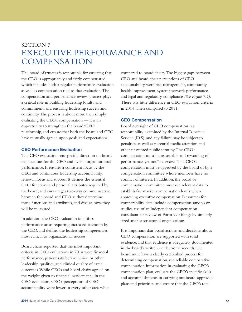## SECTION 7 EXECUTIVE PERFORMANCE AND **COMPENSATION**

The board of trustees is responsible for ensuring that the CEO is appropriately and fairly compensated, which includes both a regular performance evaluation as well as compensation tied to that evaluation. The compensation and performance review process plays a critical role in building leadership loyalty and commitment, and ensuring leadership success and continuity. The process is about more than simply evaluating the CEO's compensation — it is an opportunity to strengthen the board/CEO relationship, and ensure that both the board and CEO have mutually agreed upon goals and expectations.

### CEO Performance Evaluation

The CEO evaluation sets specific direction on board expectations for the CEO and overall organizational performance. It ensures a consistent focus by the CEO, and continuous leadership accountability, renewal, focus and success. It defines the essential CEO functions and personal attributes required by the board, and encourages two-way communication between the board and CEO as they determine those functions and attributes, and discuss how they will be measured.

In addition, the CEO evaluation identifies performance areas requiring increased attention by the CEO, and defines the leadership competencies most critical to organizational success.

Board chairs reported that the most important criteria in CEO evaluations in 2014 were financial performance, patient satisfaction, vision or other leadership qualities, and clinical quality of care/ outcomes. While CEOs and board chairs agreed on the weight given to financial performance in the CEO evaluation, CEO's perceptions of CEO accountability were lower in every other area when compared to board chairs. The biggest gaps between CEO and board chair perceptions of CEO accountability were risk management, community health improvement, system/network performance and legal and regulatory compliance *(See Figure 7.1)*. There was little difference in CEO evaluation criteria in 2014 when compared to 2011.

### CEO Compensation

Board oversight of CEO compensation is a responsibility examined by the Internal Revenue Service (IRS), and any failure may be subject to penalties, as well as potential media attention and other unwanted public scrutiny. The CEO's compensation must be reasonable and rewarding of performance, yet not "excessive." The CEO's compensation must be approved by the board or by a compensation committee whose members have no conflict of interest. In addition, the board or compensation committee must use relevant data to establish fair market compensation levels when approving executive compensation. Resources for comparability data include compensation surveys or studies, use of an independent compensation consultant, or review of Form 990 filings by similarly sized and/or structured organizations.

It is important that board actions and decisions about CEO compensation are supported with solid evidence, and that evidence is adequately documented in the board's written or electronic records. The board must have a clearly established process for determining compensation, use reliable comparative compensation information in evaluating the CEO's compensation plan, evaluate the CEO's specific skills and accomplishments in carrying out board-approved plans and priorities, and ensure that the CEO's total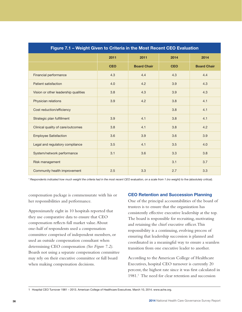| Figure 7.1 - Weight Given to Criteria in the Most Recent CEO Evaluation |            |                    |            |                    |
|-------------------------------------------------------------------------|------------|--------------------|------------|--------------------|
|                                                                         | 2011       | 2011               | 2014       | 2014               |
|                                                                         | <b>CEO</b> | <b>Board Chair</b> | <b>CEO</b> | <b>Board Chair</b> |
| Financial performance                                                   | 4.3        | 4.4                | 4.3        | 4.4                |
| Patient satisfaction                                                    | 4.0        | 4.2                | 3.9        | 4.3                |
| Vision or other leadership qualities                                    | 3.8        | 4.3                | 3.9        | 4.3                |
| Physician relations                                                     | 3.9        | 4.2                | 3.8        | 4.1                |
| Cost reduction/efficiency                                               |            |                    | 3.8        | 4.1                |
| Strategic plan fulfillment                                              | 3.9        | 4.1                | 3.8        | 4.1                |
| Clinical quality of care/outcomes                                       | 3.8        | 4.1                | 3.8        | 4.2                |
| <b>Employee Satisfaction</b>                                            | 3.6        | 3.9                | 3.6        | 3.9                |
| Legal and regulatory compliance                                         | 3.5        | 4.1                | 3.5        | 4.0                |
| System/network performance                                              | 3.1        | 3.6                | 3.3        | 3.8                |
| Risk management                                                         |            |                    | 3.1        | 3.7                |
| Community health improvement                                            | 2.5        | 3.3                | 2.7        | 3.3                |

*\* Respondents indicated how much weight the criteria had in the most recent CEO evaluation, on a scale from 1 (no weight) to five (absolutely critical).*

compensation package is commensurate with his or her responsibilities and performance.

Approximately eight in 10 hospitals reported that they use comparative data to ensure that CEO compensation reflects full market value. About one-half of respondents used a compensation committee comprised of independent members, or used an outside compensation consultant when determining CEO compensation *(See Figure 7.2)*. Boards not using a separate compensation committee may rely on their executive committee or full board when making compensation decisions.

### CEO Retention and Succession Planning

One of the principal accountabilities of the board of trustees is to ensure that the organization has consistently effective executive leadership at the top. The board is responsible for recruiting, motivating and retaining the chief executive officer. This responsibility is a continuing, evolving process of ensuring that leadership succession is planned and coordinated in a meaningful way to ensure a seamless transition from one executive leader to another.

According to the American College of Healthcare Executives, hospital CEO turnover is currently 20 percent, the highest rate since it was first calculated in 1981.1 The need for clear retention and succession

<sup>1</sup> Hospital CEO Turnover 1981 – 2013. American College of Healthcare Executives. March 10, 2014. www.ache.org.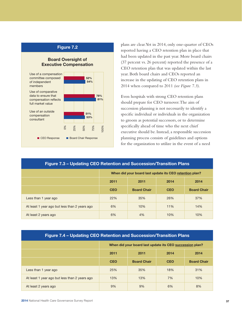### Figure 7.2

### Board Oversight of Executive Compensation



plans are clear. Yet in 2014, only one-quarter of CEOs reported having a CEO retention plan in place that had been updated in the past year. More board chairs (37 percent vs. 26 percent) reported the presence of a CEO retention plan that was updated within the last year. Both board chairs and CEOs reported an increase in the updating of CEO retention plans in 2014 when compared to 2011 *(see Figure 7.3)*.

Even hospitals with strong CEO retention plans should prepare for CEO turnover. The aim of succession planning is not necessarily to identify a specific individual or individuals in the organization to groom as potential successors, or to determine specifically ahead of time who the next chief executive should be. Instead, a responsible succession planning process consists of guidelines and options for the organization to utilize in the event of a need

### Figure 7.3 – Updating CEO Retention and Succession/Transition Plans

|                                               | When did your board last update its CEO retention plan? |                    |            |                    |  |
|-----------------------------------------------|---------------------------------------------------------|--------------------|------------|--------------------|--|
|                                               | 2011<br>2011<br>2014<br>2014                            |                    |            |                    |  |
|                                               | <b>CEO</b>                                              | <b>Board Chair</b> | <b>CEO</b> | <b>Board Chair</b> |  |
| Less than 1 year ago                          | 22%                                                     | 35%                | 26%        | 37%                |  |
| At least 1 year ago but less than 2 years ago | 6%                                                      | 10%                | 11%        | 14%                |  |
| At least 2 years ago                          | 6%                                                      | 4%                 | 10%        | 10%                |  |

### Figure 7.4 – Updating CEO Retention and Succession/Transition Plans

|                                               | When did your board last update its CEO succession plan? |                    |            |                    |
|-----------------------------------------------|----------------------------------------------------------|--------------------|------------|--------------------|
|                                               | 2011<br>2011<br>2014<br>2014                             |                    |            |                    |
|                                               | <b>CEO</b>                                               | <b>Board Chair</b> | <b>CEO</b> | <b>Board Chair</b> |
| Less than 1 year ago                          | 25%                                                      | 35%                | 18%        | 31%                |
| At least 1 year ago but less than 2 years ago | 13%                                                      | 13%                | 7%         | 10%                |
| At least 2 years ago                          | 9%                                                       | 9%                 | 6%         | 8%                 |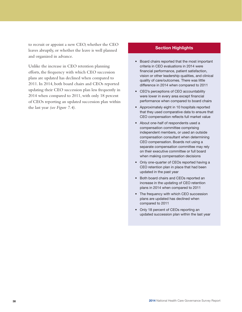Section Highlights to recruit or appoint a new CEO, whether the CEO leaves abruptly, or whether the leave is well planned and organized in advance.

Unlike the increase in CEO retention planning efforts, the frequency with which CEO succession plans are updated has declined when compared to 2011. In 2014, both board chairs and CEOs reported updating their CEO succession plan less frequently in 2014 when compared to 2011, with only 18 percent of CEOs reporting an updated succession plan within the last year *(see Figure 7.4)*.

- Board chairs reported that the most important criteria in CEO evaluations in 2014 were financial performance, patient satisfaction, vision or other leadership qualities, and clinical quality of care/outcomes. There was little difference in 2014 when compared to 2011
- CEO's perceptions of CEO accountability were lower in every area except financial performance when compared to board chairs
- Approximately eight in 10 hospitals reported that they used comparative data to ensure that CEO compensation reflects full market value
- About one-half of respondents used a compensation committee comprising independent members, or used an outside compensation consultant when determining CEO compensation. Boards not using a separate compensation committee may rely on their executive committee or full board when making compensation decisions
- Only one-quarter of CEOs reported having a CEO retention plan in place that had been updated in the past year
- Both board chairs and CEOs reported an increase in the updating of CEO retention plans in 2014 when compared to 2011
- The frequency with which CEO succession plans are updated has declined when compared to 2011
- Only 18 percent of CEOs reporting an updated succession plan within the last year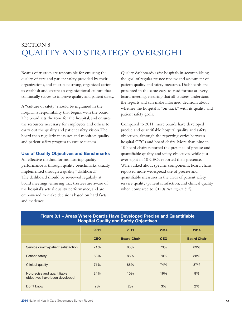## SECTION 8 QUALITY AND STRATEGY OVERSIGHT

Boards of trustees are responsible for ensuring the quality of care and patient safety provided by their organizations, and must take strong, organized action to establish and ensure an organizational culture that continually strives to improve quality and patient safety.

A "culture of safety" should be ingrained in the hospital, a responsibility that begins with the board. The board sets the tone for the hospital, and ensures the resources necessary for employees and others to carry out the quality and patient safety vision. The board then regularly measures and monitors quality and patient safety progress to ensure success.

### Use of Quality Objectives and Benchmarks

An effective method for monitoring quality performance is through quality benchmarks, usually implemented through a quality "dashboard." The dashboard should be reviewed regularly at board meetings, ensuring that trustees are aware of the hospital's actual quality performance, and are empowered to make decisions based on hard facts and evidence.

Quality dashboards assist hospitals in accomplishing the goal of regular trustee review and assessment of patient quality and safety measures. Dashboards are presented in the same easy-to-read format at every board meeting, ensuring that all trustees understand the reports and can make informed decisions about whether the hospital is "on track" with its quality and patient safety goals.

Compared to 2011, more boards have developed precise and quantifiable hospital quality and safety objectives, although the reporting varies between hospital CEOs and board chairs. More than nine in 10 board chairs reported the presence of precise and quantifiable quality and safety objectives, while just over eight in 10 CEOs reported their presence. When asked about specific components, board chairs reported more widespread use of precise and quantifiable measures in the areas of patient safety, service quality/patient satisfaction, and clinical quality when compared to CEOs *(see Figure 8.1)*.

| Figure 8.1 – Areas Where Boards Have Developed Precise and Quantifiable<br><b>Hospital Quality and Safety Objectives</b> |            |                    |            |                    |  |  |
|--------------------------------------------------------------------------------------------------------------------------|------------|--------------------|------------|--------------------|--|--|
|                                                                                                                          | 2011       | 2011<br>2014       |            |                    |  |  |
|                                                                                                                          | <b>CEO</b> | <b>Board Chair</b> | <b>CEO</b> | <b>Board Chair</b> |  |  |
| Service quality/patient satisfaction                                                                                     | 71%        | 83%                | 73%        | 89%                |  |  |
| Patient safety                                                                                                           | 68%        | 86%                | 70%        | 88%                |  |  |
| Clinical quality                                                                                                         | 71%        | 86%                | 74%        | 87%                |  |  |
| No precise and quantifiable<br>objectives have been developed                                                            | 24%        | 10%                | 19%        | 8%                 |  |  |
| Don't know                                                                                                               | 2%         | 2%                 | 3%         | 2%                 |  |  |

## Figure 8.1 – Areas Where Boards Have Developed Precise and Quantifiable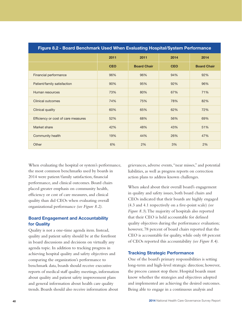| Figure 8.2 - Board Benchmark Used When Evaluating Hospital/System Performance |            |                    |            |                    |
|-------------------------------------------------------------------------------|------------|--------------------|------------|--------------------|
|                                                                               | 2011       | 2011               | 2014       | 2014               |
|                                                                               | <b>CEO</b> | <b>Board Chair</b> | <b>CEO</b> | <b>Board Chair</b> |
| Financial performance                                                         | 96%        | 96%                | 94%        | 92%                |
| Patient/family satisfaction                                                   | 90%        | 95%                | 92%        | 96%                |
| Human resources                                                               | 73%        | 80%                | 67%        | 71%                |
| <b>Clinical outcomes</b>                                                      | 74%        | 75%                | 78%        | 82%                |
| Clinical quality                                                              | 60%        | 65%                | 62%        | 72%                |
| Efficiency or cost of care measures                                           | 52%        | 68%                | 56%        | 69%                |
| Market share                                                                  | 42%        | 48%                | 43%        | 51%                |
| Community health                                                              | 19%        | 44%                | 26%        | 47%                |
| Other                                                                         | 6%         | 2%                 | 3%         | 2%                 |

When evaluating the hospital or system's performance, the most common benchmarks used by boards in 2014 were patient/family satisfaction, financial performance, and clinical outcomes. Board chairs placed greater emphasis on community health, efficiency or cost of care measures, and clinical quality than did CEOs when evaluating overall organizational performance *(see Figure 8.2)*.

### Board Engagement and Accountability for Quality

Quality is not a one-time agenda item. Instead, quality and patient safety should be at the forefront in board discussions and decisions on virtually any agenda topic. In addition to tracking progress in achieving hospital quality and safety objectives and comparing the organization's performance to benchmark data, boards should receive executive reports of medical staff quality meetings, information about quality and patient safety improvement plans and general information about health care quality trends. Boards should also receive information about

grievances, adverse events, "near misses," and potential liabilities, as well as progress reports on correction action plans to address known challenges.

When asked about their overall board's engagement in quality and safety issues, both board chairs and CEOs indicated that their boards are highly engaged (4.3 and 4.1 respectively on a five-point scale) *(see Figure 8.3)*. The majority of hospitals also reported that their CEO is held accountable for defined quality objectives during the performance evaluation; however, 78 percent of board chairs reported that the CEO is accountable for quality, while only 68 percent of CEOs reported this accountability *(see Figure 8.4)*.

### Tracking Strategic Performance

One of the board's primary responsibilities is setting long-term and high-level strategic direction; however, the process cannot stop there. Hospital boards must know whether the strategies and objectives adopted and implemented are achieving the desired outcomes. Being able to engage in a continuous analysis and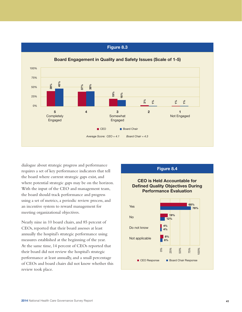

dialogue about strategic progress and performance requires a set of key performance indicators that tell the board where current strategic gaps exist, and where potential strategic gaps may be on the horizon. With the input of the CEO and management team, the board should track performance and progress using a set of metrics, a periodic review process, and an incentive system to reward management for meeting organizational objectives.

Nearly nine in 10 board chairs, and 85 percent of CEOs, reported that their board assesses at least annually the hospital's strategic performance using measures established at the beginning of the year. At the same time, 14 percent of CEOs reported that their board did not review the hospital's strategic performance at least annually, and a small percentage of CEOs and board chairs did not know whether this review took place.

### Figure 8.4

### CEO is Held Accountable for Defined Quality Objectives During Performance Evaluation

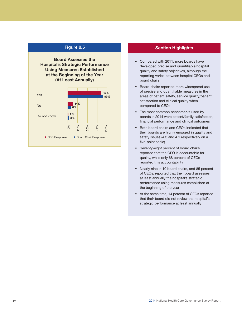### Figure 8.5



### Section Highlights

- Compared with 2011, more boards have developed precise and quantifiable hospital quality and safety objectives, although the reporting varies between hospital CEOs and board chairs
- Board chairs reported more widespread use of precise and quantifiable measures in the areas of patient safety, service quality/patient satisfaction and clinical quality when compared to CEOs
- The most common benchmarks used by boards in 2014 were patient/family satisfaction, financial performance and clinical outcomes
- Both board chairs and CEOs indicated that their boards are highly engaged in quality and safety issues (4.3 and 4.1 respectively on a five-point scale)
- Seventy-eight percent of board chairs reported that the CEO is accountable for quality, while only 68 percent of CEOs reported this accountability
- Nearly nine in 10 board chairs, and 85 percent of CEOs, reported that their board assesses at least annually the hospital's strategic performance using measures established at the beginning of the year
- At the same time, 14 percent of CEOs reported that their board did not review the hospital's strategic performance at least annually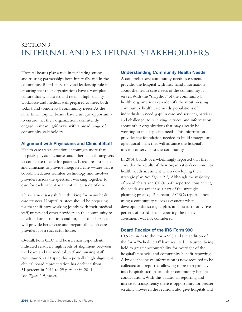## SECTION 9 INTERNAL AND EXTERNAL STAKEHOLDERS

Hospital boards play a role in facilitating strong and trusting partnerships both internally and in the community. Boards play a pivotal leadership role in ensuring that their organizations have a workplace culture that will attract and retain a high-quality workforce and medical staff prepared to meet both today's and tomorrow's community needs. At the same time, hospital boards have a unique opportunity to ensure that their organizations consistently engage in meaningful ways with a broad range of community stakeholders.

### Alignment with Physicians and Clinical Staff

Health care transformation encourages more than hospitals, physicians, nurses and other clinical caregivers to cooperate to care for patients. It requires hospitals and clinicians to provide integrated care —care that is coordinated, uses seamless technology, and involves providers across the spectrum working together to care for each patient as an entire "episode of care."

This is a necessary shift in thinking for many health care trustees. Hospital trustees should be preparing for that shift now, working jointly with their medical staff, nurses and other providers in the community to develop shared solutions and forge partnerships that will provide better care and prepare all health care providers for a successful future.

Overall, both CEO and board chair respondents indicated relatively high levels of alignment between the board and the medical staff and nursing staff *(see Figure 9.1)*. Despite this reportedly high alignment, clinical board representation has declined from 31 percent in 2011 to 29 percent in 2014 *(see Figure 2.9, earlier)*.

### Understanding Community Health Needs

A comprehensive community needs assessment provides the hospital with first-hand information about the health care needs of the community it serves. With this "snapshot" of the community's health, organizations can identify the most pressing community health care needs, populations of individuals in need, gaps in care and services, barriers and challenges to receiving services, and information about other organizations that may already be working to meet specific needs. This information provides the foundation needed to build strategic and operational plans that will advance the hospital's mission of service to the community.

In 2014, boards overwhelmingly reported that they consider the results of their organization's community health needs assessment when developing their strategic plan *(see Figure 9.2)*. Although the majority of board chairs and CEOs both reported considering the needs assessment as a part of the strategic planning process, 12 percent of CEOs reported not using a community needs assessment when developing the strategic plan, in contrast to only five percent of board chairs reporting the needs assessment was not considered.

### Board Receipt of the IRS Form 990

IRS revisions to the Form 990 and the addition of the form "Schedule H" have resulted in trustees being held to greater accountability for oversight of the hospital's financial and community benefit reporting. A broader scope of information is now required to be collected and reported, allowing more transparency into hospitals' actions and their community benefit contributions. With this additional reporting and increased transparency there is opportunity for greater scrutiny; however, the revisions also give hospitals and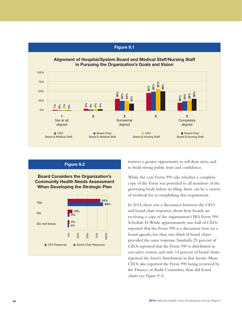



trustees a greater opportunity to tell their story, and to build strong public trust and confidence.

While the core Form 990 asks whether a complete copy of the Form was provided to all members of the governing body before its filing, there can be a variety of methods for accomplishing this requirement.

In 2014, there was a disconnect between the CEO and board chair responses about how boards are receiving a copy of the organization's IRS Form 990 Schedule H. While approximately one-half of CEOs reported that the Form 990 is a discussion item on a board agenda, less than one-third of board chairs provided the same response. Similarly, 25 percent of CEOs reported that the Form 990 is distributed in executive session, and only 14 percent of board chairs reported the form's distribution in that forum. More CEOs also reported the Form 990 being reviewed by the Finance or Audit Committee than did board chairs *(see Figure 9.3)*.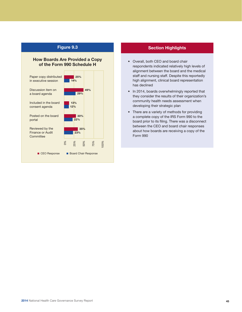### Figure 9.3

### How Boards Are Provided a Copy of the Form 990 Schedule H



### Section Highlights

- Overall, both CEO and board chair respondents indicated relatively high levels of alignment between the board and the medical staff and nursing staff. Despite this reportedly high alignment, clinical board representation has declined
- In 2014, boards overwhelmingly reported that they consider the results of their organization's community health needs assessment when developing their strategic plan
- There are a variety of methods for providing a complete copy of the IRS Form 990 to the board prior to its filing. There was a disconnect between the CEO and board chair responses about how boards are receiving a copy of the Form 990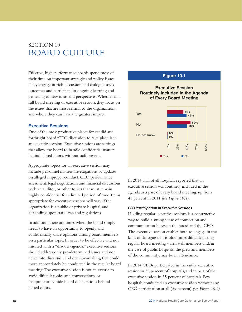## SECTION 10 BOARD CULTURE

Effective, high-performance boards spend most of their time on important strategic and policy issues. They engage in rich discussion and dialogue, assess outcomes and participate in ongoing learning and gathering of new ideas and perspectives. Whether in a full board meeting or executive session, they focus on the issues that are most critical to the organization, and where they can have the greatest impact.

### Executive Sessions

One of the most productive places for candid and forthright board/CEO discussion to take place is in an executive session. Executive sessions are settings that allow the board to handle confidential matters behind closed doors, without staff present.

Appropriate topics for an executive session may include personnel matters, investigations or updates on alleged improper conduct, CEO performance assessment, legal negotiations and financial discussions with an auditor, or other topics that must remain highly confidential for a limited period of time. Items appropriate for executive sessions will vary if the organization is a public or private hospital, and depending upon state laws and regulations.

In addition, there are times when the board simply needs to have an opportunity to openly and confidentially share opinions among board members on a particular topic. In order to be effective and not misused with a "shadow-agenda," executive sessions should address only pre-determined issues and not delve into discussion and decision-making that could more appropriately be conducted in the regular board meeting. The executive session is not an excuse to avoid difficult topics and conversations, or inappropriately hide board deliberations behind closed doors.



In 2014, half of all hospitals reported that an executive session was routinely included in the agenda as a part of every board meeting, up from 41 percent in 2011 *(see Figure 10.1)*.

### *CEO Participation in Executive Sessions*

Holding regular executive sessions is a constructive way to build a strong sense of connection and communication between the board and the CEO. The executive session enables both to engage in the kind of dialogue that is oftentimes difficult during regular board meeting when staff members and, in the case of public hospitals, the press and members of the community, may be in attendance.

In 2014 CEOs participated in the entire executive session in 59 percent of hospitals, and in part of the executive session in 35 percent of hospitals. Few hospitals conducted an executive session without any CEO participation at all (six percent) *(see Figure 10.2)*.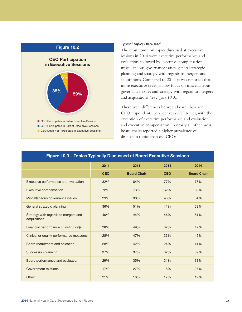

### *Typical Topics Discussed*

The most common topics discussed at executive sessions in 2014 were executive performance and evaluation, followed by executive compensation, miscellaneous governance issues, general strategic planning and strategy with regards to mergers and acquisitions. Compared to 2011, it was reported that more executive sessions now focus on miscellaneous governance issues and strategy with regard to mergers and acquisitions *(see Figure 10.3)*.

There were differences between board chair and CEO respondents' perspectives on all topics, with the exception of executive performance and evaluation and executive compensation. In nearly all other areas, board chairs reported a higher prevalence of discussion topics than did CEOs.

| Figure 10.3 - Topics Typically Discussed at Board Executive Sessions |            |                    |            |                    |  |
|----------------------------------------------------------------------|------------|--------------------|------------|--------------------|--|
|                                                                      | 2011       | 2011               | 2014       | 2014               |  |
|                                                                      | <b>CEO</b> | <b>Board Chair</b> | <b>CEO</b> | <b>Board Chair</b> |  |
| Executive performance and evaluation                                 | 82%        | 84%                | 77%        | 78%                |  |
| Executive compensation                                               | 72%        | 73%                | 62%        | 62%                |  |
| Miscellaneous governance issues                                      | 29%        | 38%                | 43%        | 54%                |  |
| General strategic planning                                           | 36%        | 51%                | 41%        | 53%                |  |
| Strategy with regards to mergers and<br>acquisitions                 | 40%        | 44%                | 46%        | 51%                |  |
| Financial performance of institution(s)                              | 28%        | 49%                | 32%        | 47%                |  |
| Clinical or quality performance measures                             | 28%        | 47%                | 33%        | 45%                |  |
| Board recruitment and selection                                      | 28%        | 42%                | 24%        | 41%                |  |
| Succession planning                                                  | 37%        | 37%                | 32%        | 39%                |  |
| Board performance and evaluation                                     | 29%        | 35%                | 31%        | 38%                |  |
| Government relations                                                 | 17%        | 27%                | 15%        | 27%                |  |
| Other                                                                | 21%        | 16%                | 17%        | 12%                |  |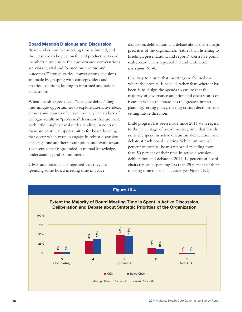### Board Meeting Dialogue and Discussion

Board and committee meeting time is limited, and should strive to be purposeful and productive. Board members must ensure their governance conversations are vibrant, vital and focused on purpose and outcomes. Through critical conversations, decisions are made by grasping with concepts, ideas and practical solutions, leading to informed and rational conclusions.

When boards experience a "dialogue deficit" they miss unique opportunities to explore alternative ideas, choices and courses of action. In many cases a lack of dialogue results in "proforma" decisions that are made with little insight or real understanding. In contrast, there are continual opportunities for board learning that occur when trustees engage in robust discussion, challenge one another's assumptions and work toward a consensus that is grounded in mutual knowledge, understanding and commitment.

CEOs and board chairs reported that they are spending some board meeting time in active

discussion, deliberation and debate about the strategic priorities of the organization (rather than listening to briefings, presentations, and reports). On a five point scale, board chairs reported 3.3 and CEO's 3.2 *(see Figure 10.4)*.

One way to ensure that meetings are focused on where the hospital is headed, rather than where it has been, is to design the agenda to ensure that the majority of governance attention and discussion is on issues in which the board has the greatest impact: planning, setting policy, making critical decisions and setting future direction.

Little progress has been made since 2011 with regard to the percentage of board meeting time that boards normally spend in active discussion, deliberation, and debate at each board meeting. While just over 40 percent of hospital boards reported spending more than 50 percent of their time in active discussion, deliberation and debate in 2014, 19 percent of board chairs reported spending less than 25 percent of their meeting time on such activities *(see Figure 10.5)*.

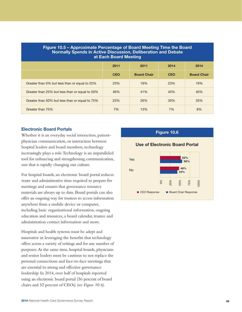| Figure 10.5 - Approximate Percentage of Board Meeting Time the Board<br>Normally Spends in Active Discussion, Deliberation and Debate<br>at Each Board Meeting |            |                    |            |                    |  |  |
|----------------------------------------------------------------------------------------------------------------------------------------------------------------|------------|--------------------|------------|--------------------|--|--|
| 2011<br>2011<br>2014<br>2014                                                                                                                                   |            |                    |            |                    |  |  |
|                                                                                                                                                                | <b>CEO</b> | <b>Board Chair</b> | <b>CEO</b> | <b>Board Chair</b> |  |  |
| Greater than 0% but less than or equal to 25%                                                                                                                  | 23%        | 19%                | 23%        | 19%                |  |  |
| Greater than 25% but less than or equal to 50%                                                                                                                 | 46%        | 41%                | 40%        | 40%                |  |  |
| Greater than 50% but less than or equal to 75%                                                                                                                 | 23%        | 26%                | 30%        | 33%                |  |  |
| Greater than 75%                                                                                                                                               | 7%         | 13%                | 7%         | 8%                 |  |  |

### Electronic Board Portals

Whether it is an everyday social interaction, patientphysician communication, or interaction between hospital leaders and board members, technology increasingly plays a role. Technology is an unparalleled tool for enhancing and strengthening communication, one that is rapidly changing our culture.

For hospital boards, an electronic board portal reduces waste and administrative time required to prepare for meetings and ensures that governance resource materials are always up to date. Board portals can also offer an ongoing way for trustees to access information anywhere from a mobile device or computer, including basic organizational information, ongoing education and resources, a board calendar, trustee and administration contact information and more.

Hospitals and health systems must be adept and innovative in leveraging the benefits that technology offers across a variety of settings and for any number of purposes. At the same time, hospital boards, physicians and senior leaders must be cautious to not replace the personal connections and face-to-face meetings that are essential to strong and effective governance leadership. In 2014, over half of hospitals reported using an electronic board portal (56 percent of board chairs and 52 percent of CEOs) *(see Figure 10.6)*.

### Figure 10.6

### Use of Electronic Board Portal

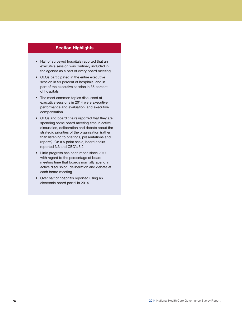### Section Highlights

- Half of surveyed hospitals reported that an executive session was routinely included in the agenda as a part of every board meeting
- CEOs participated in the entire executive session in 59 percent of hospitals, and in part of the executive session in 35 percent of hospitals
- The most common topics discussed at executive sessions in 2014 were executive performance and evaluation, and executive compensation
- CEOs and board chairs reported that they are spending some board meeting time in active discussion, deliberation and debate about the strategic priorities of the organization (rather than listening to briefings, presentations and reports). On a 5 point scale, board chairs reported 3.3 and CEO's 3.2
- Little progress has been made since 2011 with regard to the percentage of board meeting time that boards normally spend in active discussion, deliberation and debate at each board meeting
- Over half of hospitals reported using an electronic board portal in 2014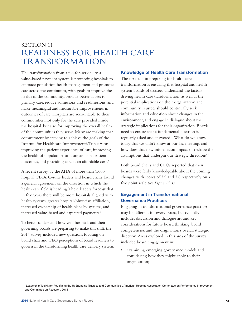## SECTION 11 READINESS FOR HEALTH CARE TRANSFORMATION

The transformation from a fee-for-service to a value-based payment system is prompting hospitals to embrace population health management and promote care across the continuum, with goals to improve the health of the community, provide better access to primary care, reduce admissions and readmissions, and make meaningful and measurable improvements in outcomes of care. Hospitals are accountable to their communities, not only for the care provided inside the hospital, but also for improving the overall health of the communities they serve. Many are making that commitment by striving to achieve the goals of the Institute for Healthcare Improvement's Triple Aim: improving the patient experience of care, improving the health of populations and unparalleled patient outcomes, and providing care at an affordable cost.1

A recent survey by the AHA of more than 1,000 hospital CEOs, C-suite leaders and board chairs found a general agreement on the direction in which the health care field is heading. These leaders forecast that in five years there will be more hospitals aligned with health systems, greater hospital/physician affiliation, increased ownership of health plans by systems, and increased value-based and capitated payments.<sup>1</sup>

To better understand how well hospitals and their governing boards are preparing to make this shift, the 2014 survey included new questions focusing on board chair and CEO perceptions of board readiness to govern in the transforming health care delivery system.

### Knowledge of Health Care Transformation

The first step in preparing for health care transformation is ensuring that hospital and health system boards of trustees understand the factors driving health care transformation, as well as the potential implications on their organization and community. Trustees should continually seek information and education about changes in the environment, and engage in dialogue about the strategic implications for their organization. Boards need to ensure that a fundamental question is regularly asked and answered: "What do we know today that we didn't know at our last meeting, and how does that new information impact or reshape the assumptions that underpin our strategic direction?"

Both board chairs and CEOs reported that their boards were fairly knowledgeable about the coming changes, with scores of 3.9 and 3.8 respectively on a five point scale *(see Figure 11.1)*.

### Engagement in Transformational Governance Practices

Engaging in transformational governance practices may be different for every board, but typically includes discussion and dialogue around key considerations for future board thinking, board competencies, and the origination's overall strategic direction. Areas explored in this area of the survey included board engagement in:

examining emerging governance models and considering how they might apply to their organization;

<sup>1</sup> "Leadership Toolkit for Redefining the H: Engaging Trustees and Communities". American Hospital Association Committee on Performance Improvement and Committee on Research, 2014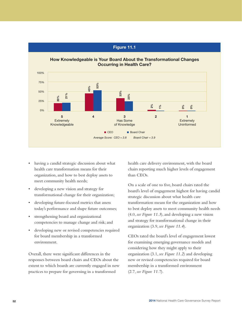

- having a candid strategic discussion about what health care transformation means for their organization, and how to best deploy assets to meet community health needs;
- developing a new vision and strategy for transformational change for their organization;
- developing future-focused metrics that assess today's performance and shape future outcomes;
- strengthening board and organizational competencies to manage change and risk; and
- developing new or revised competencies required for board membership in a transformed environment.

Overall, there were significant differences in the responses between board chairs and CEOs about the extent to which boards are currently engaged in new practices to prepare for governing in a transformed

health care delivery environment, with the board chairs reporting much higher levels of engagement than CEOs.

On a scale of one to five, board chairs rated the board's level of engagement highest for having candid strategic discussion about what health care transformation means for the organization and how to best deploy assets to meet community health needs (4.0, *see Figure 11.3*), and developing a new vision and strategy for transformational change in their organization (3.9, *see Figure 11.4*).

CEOs rated the board's level of engagement lowest for examining emerging governance models and considering how they might apply to their organization (3.1, *see Figure 11.2*) and developing new or revised competencies required for board membership in a transformed environment (2.7, *see Figure 11.7*).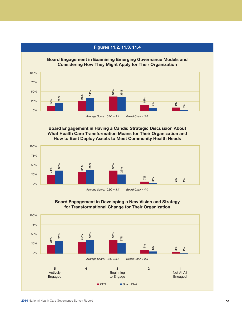

### Board Engagement in Having a Candid Strategic Discussion About What Health Care Transformation Means for Their Organization and How to Best Deploy Assets to Meet Community Health Needs



*Average Score: CEO = 3.7 Board Chair = 4.0*



## Board Engagement in Developing a New Vision and Strategy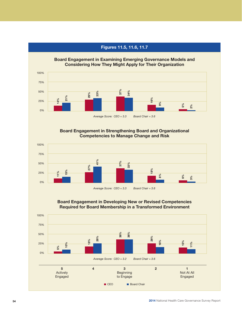

### Board Engagement in Strengthening Board and Organizational Competencies to Manage Change and Risk



### Board Engagement in Developing New or Revised Competencies Required for Board Membership in a Transformed Environment

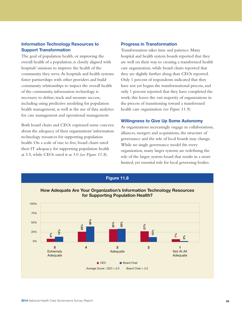### Information Technology Resources to Support Transformation

The goal of population health, or improving the overall health of a population, is closely aligned with hospitals' missions to improve the health of the community they serve. As hospitals and health systems foster partnerships with other providers and build community relationships to impact the overall health of the community, information technology is necessary to define, track and measure success, including using predictive modeling for population health management, as well as the use of data analytics for care management and operational management.

Both board chairs and CEOs expressed some concern about the adequacy of their organizations' information technology resources for supporting population health. On a scale of one to five, board chairs rated their IT adequacy for supporting population health at 3.5, while CEOs rated it as 3.0 *(see Figure 11.8)*.

### Progress in Transformation

Transformation takes time and patience. Many hospital and health system boards reported that they are well on their way to creating a transformed health care organization, while board chairs reported that they are slightly further along than CEOs reported. Only 1 percent of respondents indicated that they have not yet begun the transformational process, and only 1 percent reported that they have completed the work; this leaves the vast majority of organizations in the process of transitioning toward a transformed health care organization *(see Figure 11.9)*.

### Willingness to Give Up Some Autonomy

As organizations increasingly engage in collaborations, alliances, mergers and acquisitions, the structure of governance and the role of local boards may change. While no single governance model fits every organization, many larger systems are redefining the role of the larger, system board that results in a more limited, yet essential role for local governing bodies.

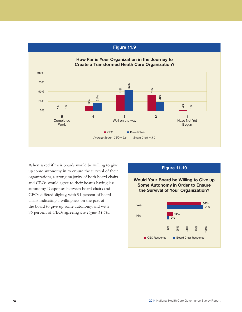

When asked if their boards would be willing to give up some autonomy in to ensure the survival of their organizations, a strong majority of both board chairs and CEOs would agree to their boards having less autonomy. Responses between board chairs and CEOs differed slightly, with 91 percent of board chairs indicating a willingness on the part of the board to give up some autonomy, and with 86 percent of CEOs agreeing *(see Figure 11.10)*.

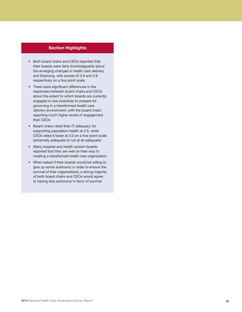### Section Highlights

- Both board chairs and CEOs reported that their boards were fairly knowledgeable about the emerging changes in health care delivery and financing, with scores of 3.9 and 3.8 respectively on a five point scale
- There were significant differences in the responses between board chairs and CEOs about the extent to which boards are currently engaged in new practices to prepare for governing in a transformed health care delivery environment, with the board chairs reporting much higher levels of engagement than CEOs
- Board chairs rated their IT adequacy for supporting population health at 3.5, while CEOs rated it lower at 3.0 on a five-point scale (extremely adequate to not at all adequate)
- Many hospital and health system boards reported that they are well on their way to creating a transformed health care organization
- When asked if their boards would be willing to give up some autonomy in order to ensure the survival of their organizations, a strong majority of both board chairs and CEOs would agree to having less autonomy in favor of survival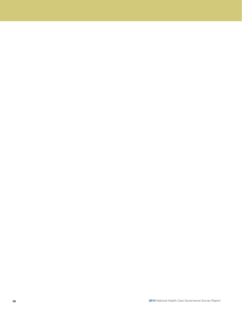### 2014 National Health Care Governance Survey Report